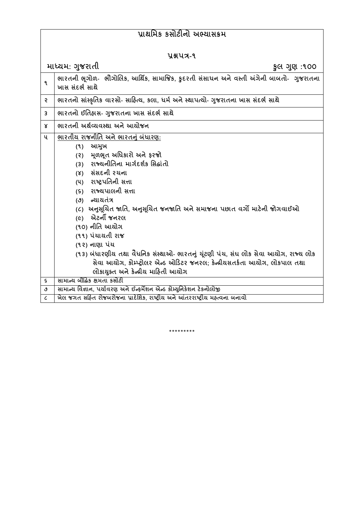## **પ્રાથમિક કસોટીનો અભ્યાસક્રિ**

| પ્રશ્નપત્ર-૧             |                                                                                                                                                                                                                                                                                                                                                                                                                                                                                                                                                                                        |
|--------------------------|----------------------------------------------------------------------------------------------------------------------------------------------------------------------------------------------------------------------------------------------------------------------------------------------------------------------------------------------------------------------------------------------------------------------------------------------------------------------------------------------------------------------------------------------------------------------------------------|
|                          | માધ્યમ: ગુજરાતી<br>કુલ ગુણ :૧૦૦                                                                                                                                                                                                                                                                                                                                                                                                                                                                                                                                                        |
| ٩                        | ભારતની ભૂગોળ-  ભૌગોલિક, આર્થિક, સામાજિક, કુદરતી સંસાધન અને વસ્તી અંગેની બાબતો-  ગુજરાતના<br>ખાસ સંદર્ભ સાથે                                                                                                                                                                                                                                                                                                                                                                                                                                                                            |
| ę                        | ભારતનો સાંસ્કૃતિક વારસો- સાહિત્ય, કલા, ધર્મ અને સ્થાપત્યો- ગુજરાતના ખાસ સંદર્ભ સાથે                                                                                                                                                                                                                                                                                                                                                                                                                                                                                                    |
| 3                        | ભારતનો ઈતિહ્રાસ- ગુજરાતના ખાસ સંદર્ભ સાથે                                                                                                                                                                                                                                                                                                                                                                                                                                                                                                                                              |
| Χ                        | ભારતની અર્થવ્યવસ્થા અને આયોજન                                                                                                                                                                                                                                                                                                                                                                                                                                                                                                                                                          |
| ૫                        | ભારતીય રાજનીતિ અને ભારતનું બંધારણ:<br>આમુખ<br>(9)<br>મૂળભૂત અધિકારો અને ફરજો<br>(3)<br>રાજ્યનીતિના માર્ગદર્શક સિદ્ધાંતો<br>(3)<br>(४) સંસદની રચના<br>(૫) રાષ્ટ્રપતિની સત્તા<br>(૬) રાજ્યપાલની સત્તા<br>(૭) ન્યાયતંત્ર<br>(૮)  અનુસૂચિત જાતિ, અનુસૂચિત જનજાતિ અને સમાજના પછાત વર્ગો માટેની જોગવાઈઓ<br>(૯) એટર્ની જનરલ<br>(૧૦) નીતિ આયોગ<br>(૧૧) પંચાયતી રાજ<br>(૧૨) નાણા પંચ<br>(૧૩) બંધારણીય તથા વૈધનિક સંસ્થાઓ- ભારતનું ચૂંટણી પંચ, સંઘ લોક સેવા આયોગ, રાજ્ય લોક<br>સેવા આયોગ, કોમ્પ્ટ્રોલર એન્ડ ઓડિટર જનરલ; કેન્દ્રીયસતર્કતા આયોગ, લોકપાલ તથા<br>લોકાયુક્ત અને કેન્દ્રીય માહિતી આયોગ |
| $\boldsymbol{\varsigma}$ | સામાન્ય બૌદ્ધિક ક્ષમતા કસોટી                                                                                                                                                                                                                                                                                                                                                                                                                                                                                                                                                           |
| $\mathfrak{S}$           | સામાન્ય વિજ્ઞાન, પર્યાવરણ અને ઈન્ફર્મેશન એન્ડ કોમ્યુનિકેશન ટેકનોલોજી                                                                                                                                                                                                                                                                                                                                                                                                                                                                                                                   |
| $\epsilon$               | ખેલ જગત સહિત રોજબરોજના પ્રાદેશિક, રાષ્ટ્રીય અને આંતરરાષ્ટ્રીય મહ્ત્વના બનાવો                                                                                                                                                                                                                                                                                                                                                                                                                                                                                                           |

\*\*\*\*\*\*\*\*\*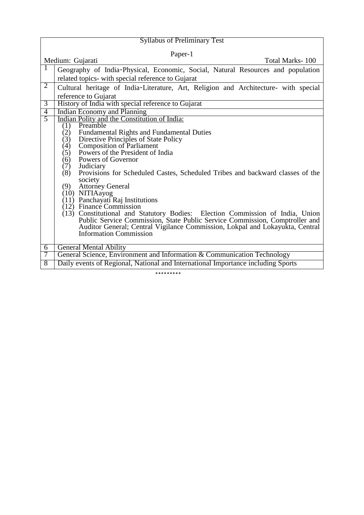| <b>Syllabus of Preliminary Test</b>                                                                                                                          |  |
|--------------------------------------------------------------------------------------------------------------------------------------------------------------|--|
| Paper-1                                                                                                                                                      |  |
| Medium: Gujarati<br>Total Marks-100                                                                                                                          |  |
| 1<br>Geography of India-Physical, Economic, Social, Natural Resources and population                                                                         |  |
| related topics- with special reference to Gujarat                                                                                                            |  |
| $\overline{2}$<br>Cultural heritage of India-Literature, Art, Religion and Architecture- with special                                                        |  |
| reference to Gujarat                                                                                                                                         |  |
| History of India with special reference to Gujarat<br>$\overline{3}$                                                                                         |  |
| <b>Indian Economy and Planning</b><br>$\overline{4}$                                                                                                         |  |
| $\overline{5}$<br>Indian Polity and the Constitution of India:<br>Preamble                                                                                   |  |
| (1)<br>(2)<br><b>Fundamental Rights and Fundamental Duties</b>                                                                                               |  |
| Directive Principles of State Policy<br>(3)                                                                                                                  |  |
| <b>Composition of Parliament</b><br>(4)                                                                                                                      |  |
| Powers of the President of India<br>(5)                                                                                                                      |  |
| (6)<br>Powers of Governor                                                                                                                                    |  |
| Judiciary<br>(7)                                                                                                                                             |  |
| (8)<br>Provisions for Scheduled Castes, Scheduled Tribes and backward classes of the<br>society                                                              |  |
| <b>Attorney General</b><br>(9)                                                                                                                               |  |
| (10) NITIAayog                                                                                                                                               |  |
| $(11)$ Panchayati Raj Institutions                                                                                                                           |  |
| $(12)$ Finance Commission                                                                                                                                    |  |
| (13) Constitutional and Statutory Bodies: Election Commission of India, Union<br>Public Service Commission, State Public Service Commission, Comptroller and |  |
|                                                                                                                                                              |  |
| Auditor General; Central Vigilance Commission, Lokpal and Lokayukta, Central<br><b>Information Commission</b>                                                |  |
|                                                                                                                                                              |  |
| <b>General Mental Ability</b><br>6                                                                                                                           |  |
| General Science, Environment and Information & Communication Technology<br>7                                                                                 |  |
| Daily events of Regional, National and International Importance including Sports<br>8                                                                        |  |

\*\*\*\*\*\*\*\*\*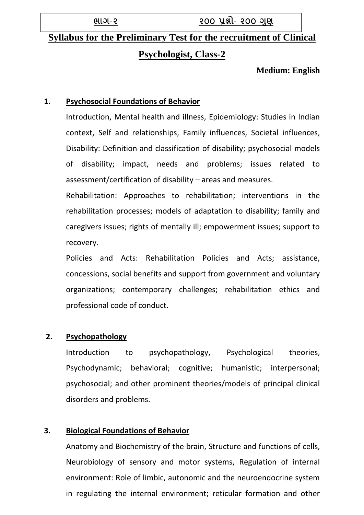**ભાગ-૨ ૨૦૦ પ્રશ્નો- ૨૦૦ ગણુ**

# **Syllabus for the Preliminary Test for the recruitment of Clinical Psychologist, Class-2**

**Medium: English**

## **1. Psychosocial Foundations of Behavior**

Introduction, Mental health and illness, Epidemiology: Studies in Indian context, Self and relationships, Family influences, Societal influences, Disability: Definition and classification of disability; psychosocial models of disability; impact, needs and problems; issues related to assessment/certification of disability – areas and measures.

Rehabilitation: Approaches to rehabilitation; interventions in the rehabilitation processes; models of adaptation to disability; family and caregivers issues; rights of mentally ill; empowerment issues; support to recovery.

Policies and Acts: Rehabilitation Policies and Acts; assistance, concessions, social benefits and support from government and voluntary organizations; contemporary challenges; rehabilitation ethics and professional code of conduct.

## **2. Psychopathology**

Introduction to psychopathology, Psychological theories, Psychodynamic; behavioral; cognitive; humanistic; interpersonal; psychosocial; and other prominent theories/models of principal clinical disorders and problems.

### **3. Biological Foundations of Behavior**

Anatomy and Biochemistry of the brain, Structure and functions of cells, Neurobiology of sensory and motor systems, Regulation of internal environment: Role of limbic, autonomic and the neuroendocrine system in regulating the internal environment; reticular formation and other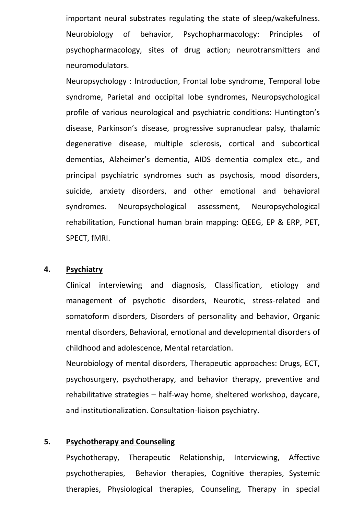important neural substrates regulating the state of sleep/wakefulness. Neurobiology of behavior, Psychopharmacology: Principles of psychopharmacology, sites of drug action; neurotransmitters and neuromodulators.

Neuropsychology : Introduction, Frontal lobe syndrome, Temporal lobe syndrome, Parietal and occipital lobe syndromes, Neuropsychological profile of various neurological and psychiatric conditions: Huntington's disease, Parkinson's disease, progressive supranuclear palsy, thalamic degenerative disease, multiple sclerosis, cortical and subcortical dementias, Alzheimer's dementia, AIDS dementia complex etc., and principal psychiatric syndromes such as psychosis, mood disorders, suicide, anxiety disorders, and other emotional and behavioral syndromes. Neuropsychological assessment, Neuropsychological rehabilitation, Functional human brain mapping: QEEG, EP & ERP, PET, SPECT, fMRI.

#### **4. Psychiatry**

Clinical interviewing and diagnosis, Classification, etiology and management of psychotic disorders, Neurotic, stress-related and somatoform disorders, Disorders of personality and behavior, Organic mental disorders, Behavioral, emotional and developmental disorders of childhood and adolescence, Mental retardation.

Neurobiology of mental disorders, Therapeutic approaches: Drugs, ECT, psychosurgery, psychotherapy, and behavior therapy, preventive and rehabilitative strategies – half-way home, sheltered workshop, daycare, and institutionalization. Consultation-liaison psychiatry.

#### **5. Psychotherapy and Counseling**

Psychotherapy, Therapeutic Relationship, Interviewing, Affective psychotherapies, Behavior therapies, Cognitive therapies, Systemic therapies, Physiological therapies, Counseling, Therapy in special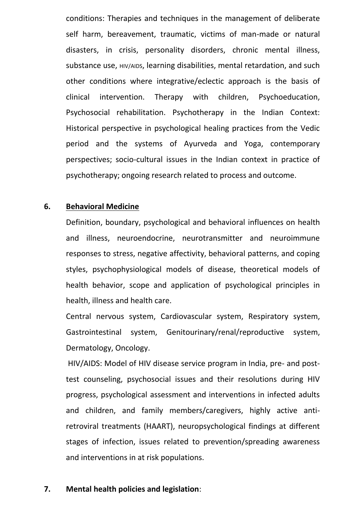conditions: Therapies and techniques in the management of deliberate self harm, bereavement, traumatic, victims of man-made or natural disasters, in crisis, personality disorders, chronic mental illness, substance use, HIV/AIDS, learning disabilities, mental retardation, and such other conditions where integrative/eclectic approach is the basis of clinical intervention. Therapy with children, Psychoeducation, Psychosocial rehabilitation. Psychotherapy in the Indian Context: Historical perspective in psychological healing practices from the Vedic period and the systems of Ayurveda and Yoga, contemporary perspectives; socio-cultural issues in the Indian context in practice of psychotherapy; ongoing research related to process and outcome.

#### **6. Behavioral Medicine**

Definition, boundary, psychological and behavioral influences on health and illness, neuroendocrine, neurotransmitter and neuroimmune responses to stress, negative affectivity, behavioral patterns, and coping styles, psychophysiological models of disease, theoretical models of health behavior, scope and application of psychological principles in health, illness and health care.

Central nervous system, Cardiovascular system, Respiratory system, Gastrointestinal system, Genitourinary/renal/reproductive system, Dermatology, Oncology.

HIV/AIDS: Model of HIV disease service program in India, pre- and posttest counseling, psychosocial issues and their resolutions during HIV progress, psychological assessment and interventions in infected adults and children, and family members/caregivers, highly active antiretroviral treatments (HAART), neuropsychological findings at different stages of infection, issues related to prevention/spreading awareness and interventions in at risk populations.

#### **7. Mental health policies and legislation**: